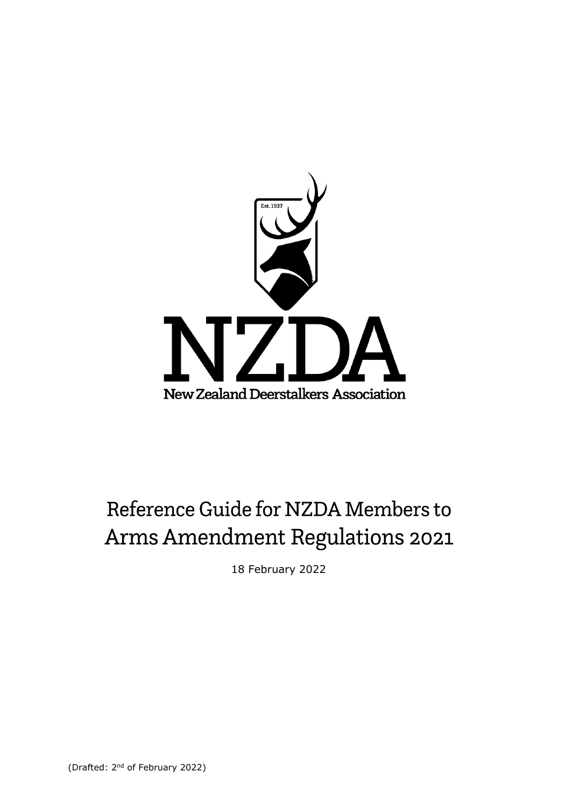

# Reference Guide for NZDA Members to Arms Amendment Regulations 2021

18 February 2022

(Drafted: 2nd of February 2022)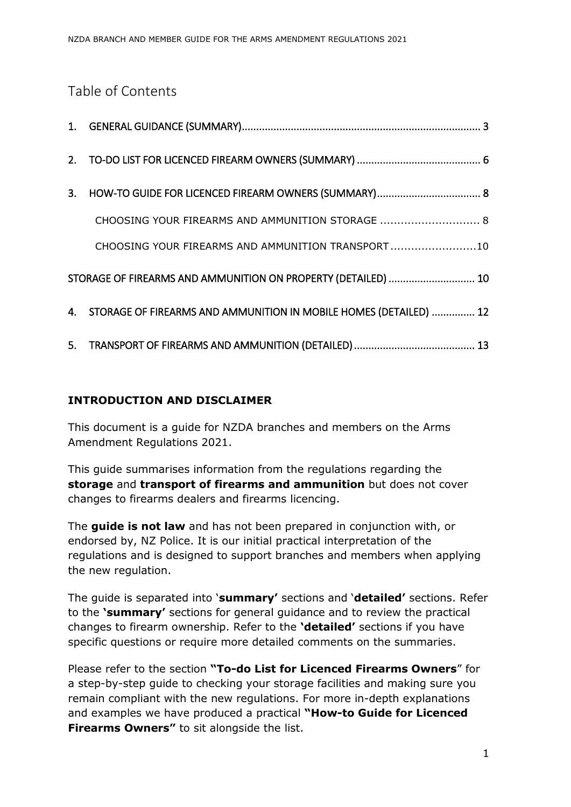# Table of Contents

| CHOOSING YOUR FIREARMS AND AMMUNITION STORAGE  8                     |  |
|----------------------------------------------------------------------|--|
| CHOOSING YOUR FIREARMS AND AMMUNITION TRANSPORT10                    |  |
| STORAGE OF FIREARMS AND AMMUNITION ON PROPERTY (DETAILED)  10        |  |
| 4. STORAGE OF FIREARMS AND AMMUNITION IN MOBILE HOMES (DETAILED)  12 |  |
|                                                                      |  |

## **INTRODUCTION AND DISCLAIMER**

This document is a guide for NZDA branches and members on the Arms Amendment Regulations 2021.

This guide summarises information from the regulations regarding the **storage** and **transport of firearms and ammunition** but does not cover changes to firearms dealers and firearms licencing.

The **guide is not law** and has not been prepared in conjunction with, or endorsed by, NZ Police. It is our initial practical interpretation of the regulations and is designed to support branches and members when applying the new regulation.

The guide is separated into '**summary'** sections and '**detailed'** sections. Refer to the **'summary'** sections for general guidance and to review the practical changes to firearm ownership. Refer to the **'detailed'** sections if you have specific questions or require more detailed comments on the summaries.

Please refer to the section **"To-do List for Licenced Firearms Owners**" for a step-by-step guide to checking your storage facilities and making sure you remain compliant with the new regulations. For more in-depth explanations and examples we have produced a practical **"How-to Guide for Licenced Firearms Owners"** to sit alongside the list.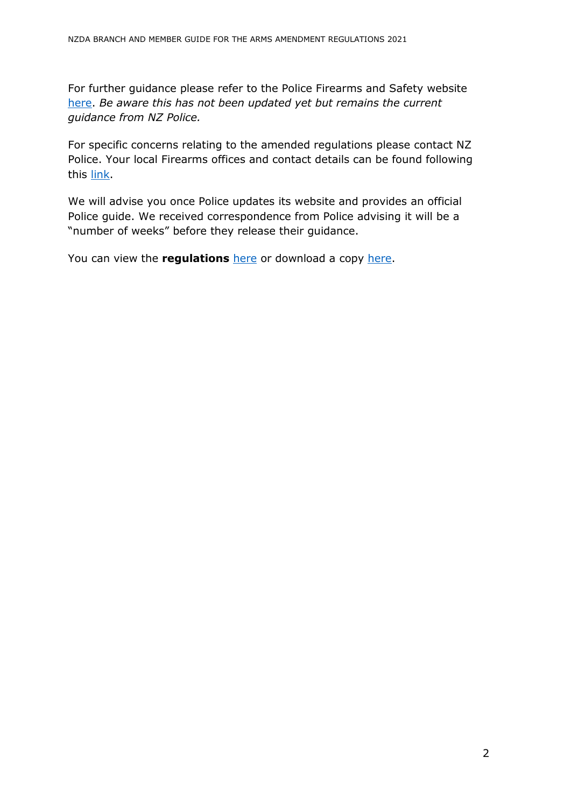For further guidance please refer to the Police Firearms and Safety website [here.](https://www.police.govt.nz/advice-services/firearms-and-safety) *Be aware this has not been updated yet but remains the current guidance from NZ Police.* 

For specific concerns relating to the amended regulations please contact NZ Police. Your local Firearms offices and contact details can be found following this [link.](https://www.police.govt.nz/advice-services/firearms-and-safety/firearms-offices-and-contact-details)

We will advise you once Police updates its website and provides an official Police guide. We received correspondence from Police advising it will be a "number of weeks" before they release their guidance.

You can view the **regulations** [here](https://www.legislation.govt.nz/regulation/public/2021/0434/latest/whole.html?bx_sender_conversion_id=14244135&utm_source=newsletter&utm_medium=mail&utm_campaign=nzda_treasurers_template_message#LMS618561) or download a copy [here.](https://www.legislation.govt.nz/regulation/public/2021/0434/latest/096be8ed81b98d03.pdf)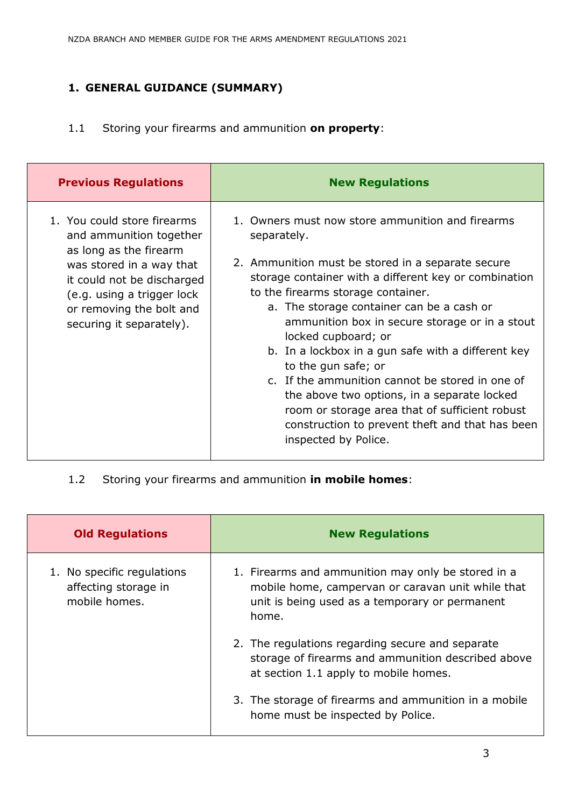# <span id="page-3-0"></span>**1. GENERAL GUIDANCE (SUMMARY)**

1.1 Storing your firearms and ammunition **on property**:

| <b>Previous Regulations</b>                                                                                                                                                                                                      | <b>New Regulations</b>                                                                                                                                                                                                                                                                                                                                                                                                                                                                                                                                                                                                                                |
|----------------------------------------------------------------------------------------------------------------------------------------------------------------------------------------------------------------------------------|-------------------------------------------------------------------------------------------------------------------------------------------------------------------------------------------------------------------------------------------------------------------------------------------------------------------------------------------------------------------------------------------------------------------------------------------------------------------------------------------------------------------------------------------------------------------------------------------------------------------------------------------------------|
| 1. You could store firearms<br>and ammunition together<br>as long as the firearm<br>was stored in a way that<br>it could not be discharged<br>(e.g. using a trigger lock<br>or removing the bolt and<br>securing it separately). | 1. Owners must now store ammunition and firearms<br>separately.<br>2. Ammunition must be stored in a separate secure<br>storage container with a different key or combination<br>to the firearms storage container.<br>a. The storage container can be a cash or<br>ammunition box in secure storage or in a stout<br>locked cupboard; or<br>b. In a lockbox in a gun safe with a different key<br>to the gun safe; or<br>c. If the ammunition cannot be stored in one of<br>the above two options, in a separate locked<br>room or storage area that of sufficient robust<br>construction to prevent theft and that has been<br>inspected by Police. |

1.2 Storing your firearms and ammunition **in mobile homes**:

| <b>Old Regulations</b>                                              | <b>New Regulations</b>                                                                                                                                             |
|---------------------------------------------------------------------|--------------------------------------------------------------------------------------------------------------------------------------------------------------------|
| 1. No specific regulations<br>affecting storage in<br>mobile homes. | 1. Firearms and ammunition may only be stored in a<br>mobile home, campervan or caravan unit while that<br>unit is being used as a temporary or permanent<br>home. |
|                                                                     | 2. The regulations regarding secure and separate<br>storage of firearms and ammunition described above<br>at section 1.1 apply to mobile homes.                    |
|                                                                     | 3. The storage of firearms and ammunition in a mobile<br>home must be inspected by Police.                                                                         |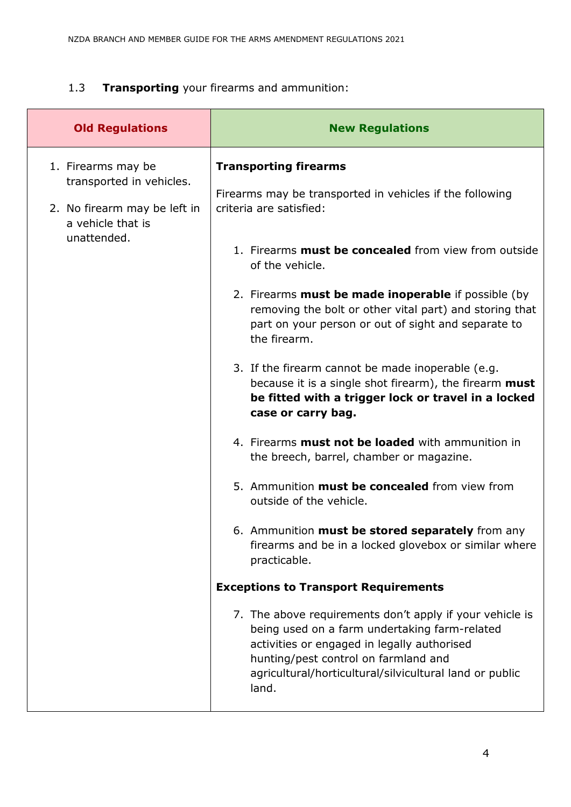## 1.3 **Transporting** your firearms and ammunition:

| <b>Old Regulations</b>                                                                                             | <b>New Regulations</b>                                                                                                                                                                                                                                                                                                                                                                                                                                                                                                                                                                                                                                                                                                                                                                                                                                                                                                                                                                                                                                                                                                                                                                                                                     |
|--------------------------------------------------------------------------------------------------------------------|--------------------------------------------------------------------------------------------------------------------------------------------------------------------------------------------------------------------------------------------------------------------------------------------------------------------------------------------------------------------------------------------------------------------------------------------------------------------------------------------------------------------------------------------------------------------------------------------------------------------------------------------------------------------------------------------------------------------------------------------------------------------------------------------------------------------------------------------------------------------------------------------------------------------------------------------------------------------------------------------------------------------------------------------------------------------------------------------------------------------------------------------------------------------------------------------------------------------------------------------|
| 1. Firearms may be<br>transported in vehicles.<br>2. No firearm may be left in<br>a vehicle that is<br>unattended. | <b>Transporting firearms</b><br>Firearms may be transported in vehicles if the following<br>criteria are satisfied:<br>1. Firearms <b>must be concealed</b> from view from outside<br>of the vehicle.<br>2. Firearms <b>must be made inoperable</b> if possible (by<br>removing the bolt or other vital part) and storing that<br>part on your person or out of sight and separate to<br>the firearm.<br>3. If the firearm cannot be made inoperable (e.g.<br>because it is a single shot firearm), the firearm must<br>be fitted with a trigger lock or travel in a locked<br>case or carry bag.<br>4. Firearms <b>must not be loaded</b> with ammunition in<br>the breech, barrel, chamber or magazine.<br>5. Ammunition must be concealed from view from<br>outside of the vehicle.<br>6. Ammunition must be stored separately from any<br>firearms and be in a locked glovebox or similar where<br>practicable.<br><b>Exceptions to Transport Requirements</b><br>7. The above requirements don't apply if your vehicle is<br>being used on a farm undertaking farm-related<br>activities or engaged in legally authorised<br>hunting/pest control on farmland and<br>agricultural/horticultural/silvicultural land or public<br>land. |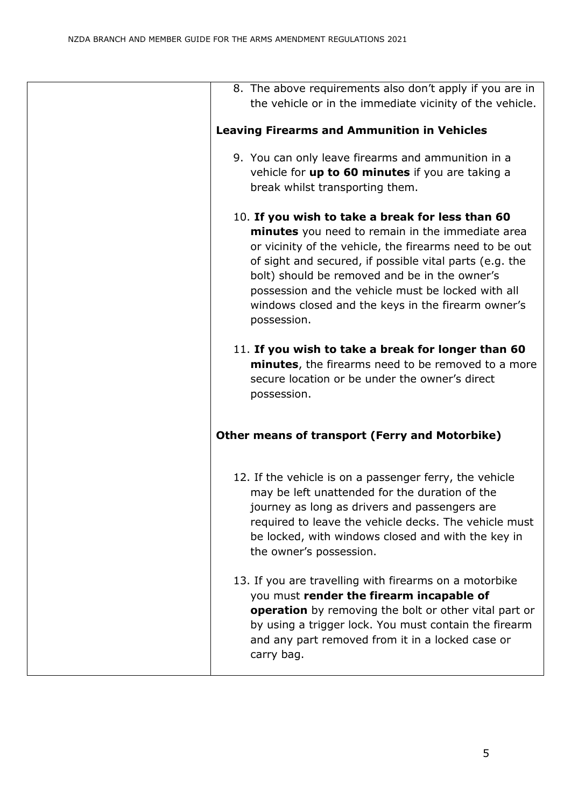| 8. The above requirements also don't apply if you are in<br>the vehicle or in the immediate vicinity of the vehicle.                                                                                                                                                                                                                                                                                   |
|--------------------------------------------------------------------------------------------------------------------------------------------------------------------------------------------------------------------------------------------------------------------------------------------------------------------------------------------------------------------------------------------------------|
| <b>Leaving Firearms and Ammunition in Vehicles</b>                                                                                                                                                                                                                                                                                                                                                     |
| 9. You can only leave firearms and ammunition in a<br>vehicle for up to 60 minutes if you are taking a<br>break whilst transporting them.                                                                                                                                                                                                                                                              |
| 10. If you wish to take a break for less than 60<br>minutes you need to remain in the immediate area<br>or vicinity of the vehicle, the firearms need to be out<br>of sight and secured, if possible vital parts (e.g. the<br>bolt) should be removed and be in the owner's<br>possession and the vehicle must be locked with all<br>windows closed and the keys in the firearm owner's<br>possession. |
| 11. If you wish to take a break for longer than 60<br>minutes, the firearms need to be removed to a more<br>secure location or be under the owner's direct<br>possession.                                                                                                                                                                                                                              |
| <b>Other means of transport (Ferry and Motorbike)</b>                                                                                                                                                                                                                                                                                                                                                  |
| 12. If the vehicle is on a passenger ferry, the vehicle<br>may be left unattended for the duration of the<br>journey as long as drivers and passengers are<br>required to leave the vehicle decks. The vehicle must<br>be locked, with windows closed and with the key in<br>the owner's possession.                                                                                                   |
| 13. If you are travelling with firearms on a motorbike<br>you must render the firearm incapable of<br>operation by removing the bolt or other vital part or<br>by using a trigger lock. You must contain the firearm<br>and any part removed from it in a locked case or<br>carry bag.                                                                                                                 |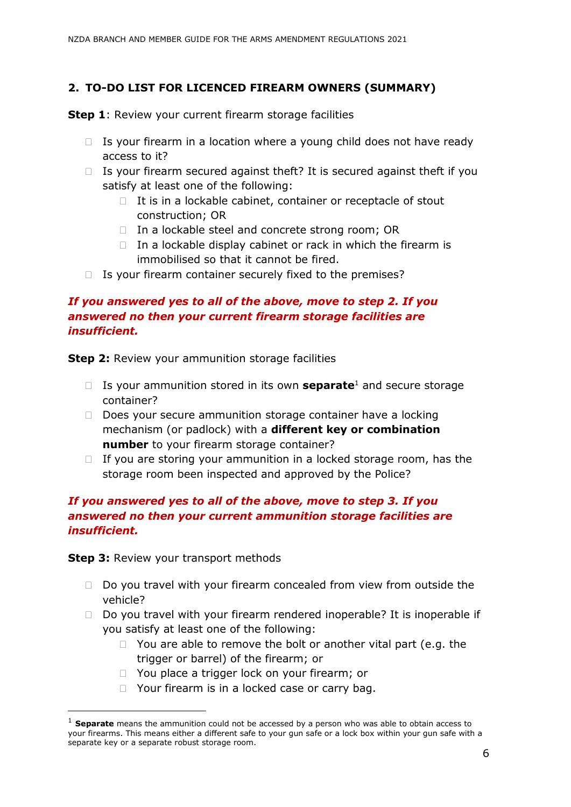## <span id="page-6-0"></span>**2. TO-DO LIST FOR LICENCED FIREARM OWNERS (SUMMARY)**

**Step 1**: Review your current firearm storage facilities

- $\Box$  Is your firearm in a location where a young child does not have ready access to it?
- $\Box$  Is your firearm secured against theft? It is secured against theft if you satisfy at least one of the following:
	- $\Box$  It is in a lockable cabinet, container or receptacle of stout construction; OR
	- $\Box$  In a lockable steel and concrete strong room; OR
	- $\Box$  In a lockable display cabinet or rack in which the firearm is immobilised so that it cannot be fired.
- $\Box$  Is your firearm container securely fixed to the premises?

## *If you answered yes to all of the above, move to step 2. If you answered no then your current firearm storage facilities are insufficient.*

**Step 2:** Review your ammunition storage facilities

- □ Is your ammunition stored in its own **separate**<sup>1</sup> and secure storage container?
- $\Box$  Does your secure ammunition storage container have a locking mechanism (or padlock) with a **different key or combination number** to your firearm storage container?
- $\Box$  If you are storing your ammunition in a locked storage room, has the storage room been inspected and approved by the Police?

## *If you answered yes to all of the above, move to step 3. If you answered no then your current ammunition storage facilities are insufficient.*

**Step 3: Review your transport methods** 

- $\Box$  Do you travel with your firearm concealed from view from outside the vehicle?
- $\Box$  Do you travel with your firearm rendered inoperable? It is inoperable if you satisfy at least one of the following:
	- $\Box$  You are able to remove the bolt or another vital part (e.g. the trigger or barrel) of the firearm; or
	- □ You place a trigger lock on your firearm; or
	- $\Box$  Your firearm is in a locked case or carry bag.

<sup>1</sup> **Separate** means the ammunition could not be accessed by a person who was able to obtain access to your firearms. This means either a different safe to your gun safe or a lock box within your gun safe with a separate key or a separate robust storage room.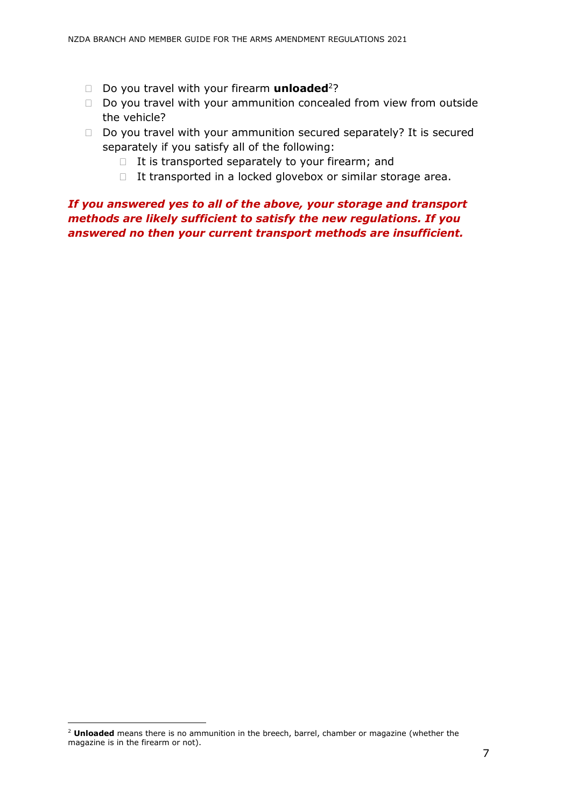- □ Do you travel with your firearm **unloaded**<sup>2</sup>?
- $\Box$  Do you travel with your ammunition concealed from view from outside the vehicle?
- $\Box$  Do you travel with your ammunition secured separately? It is secured separately if you satisfy all of the following:
	- $\Box$  It is transported separately to your firearm; and
	- $\Box$  It transported in a locked glovebox or similar storage area.

## *If you answered yes to all of the above, your storage and transport methods are likely sufficient to satisfy the new regulations. If you answered no then your current transport methods are insufficient.*

<sup>2</sup> **Unloaded** means there is no ammunition in the breech, barrel, chamber or magazine (whether the magazine is in the firearm or not).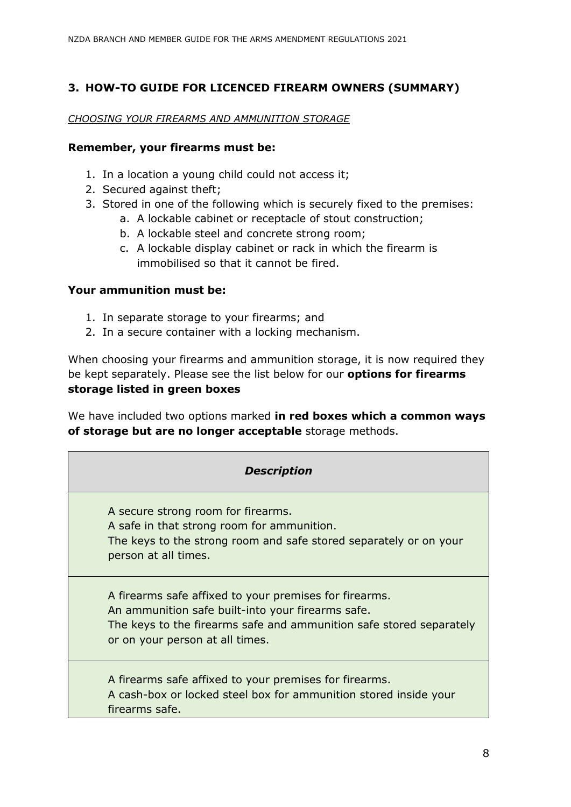## <span id="page-8-0"></span>**3. HOW-TO GUIDE FOR LICENCED FIREARM OWNERS (SUMMARY)**

#### <span id="page-8-1"></span>*CHOOSING YOUR FIREARMS AND AMMUNITION STORAGE*

#### **Remember, your firearms must be:**

- 1. In a location a young child could not access it;
- 2. Secured against theft;
- 3. Stored in one of the following which is securely fixed to the premises:
	- a. A lockable cabinet or receptacle of stout construction;
	- b. A lockable steel and concrete strong room;
	- c. A lockable display cabinet or rack in which the firearm is immobilised so that it cannot be fired.

#### **Your ammunition must be:**

- 1. In separate storage to your firearms; and
- 2. In a secure container with a locking mechanism.

When choosing your firearms and ammunition storage, it is now required they be kept separately. Please see the list below for our **options for firearms storage listed in green boxes**

We have included two options marked **in red boxes which a common ways of storage but are no longer acceptable** storage methods.

#### *Description*

A secure strong room for firearms. A safe in that strong room for ammunition. The keys to the strong room and safe stored separately or on your person at all times.

A firearms safe affixed to your premises for firearms. An ammunition safe built-into your firearms safe. The keys to the firearms safe and ammunition safe stored separately or on your person at all times.

A firearms safe affixed to your premises for firearms. A cash-box or locked steel box for ammunition stored inside your firearms safe.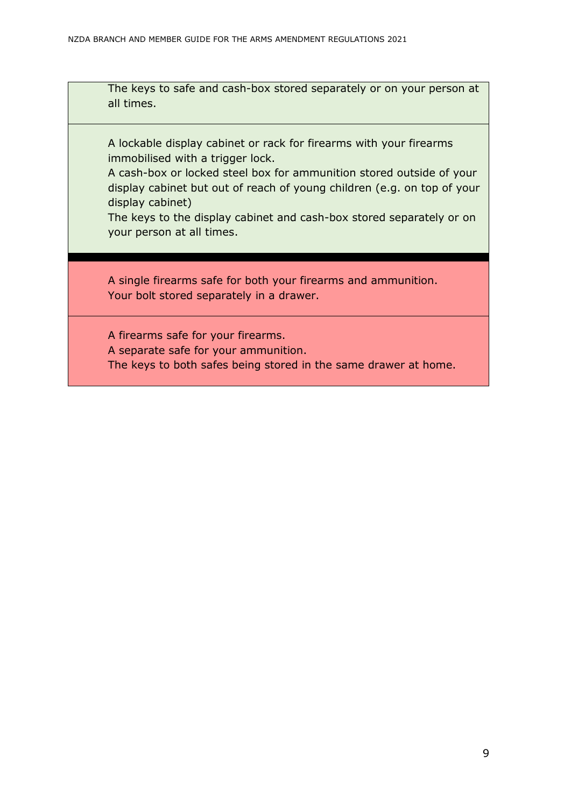The keys to safe and cash-box stored separately or on your person at all times.

A lockable display cabinet or rack for firearms with your firearms immobilised with a trigger lock.

A cash-box or locked steel box for ammunition stored outside of your display cabinet but out of reach of young children (e.g. on top of your display cabinet)

The keys to the display cabinet and cash-box stored separately or on your person at all times.

A single firearms safe for both your firearms and ammunition. Your bolt stored separately in a drawer.

A firearms safe for your firearms. A separate safe for your ammunition. The keys to both safes being stored in the same drawer at home.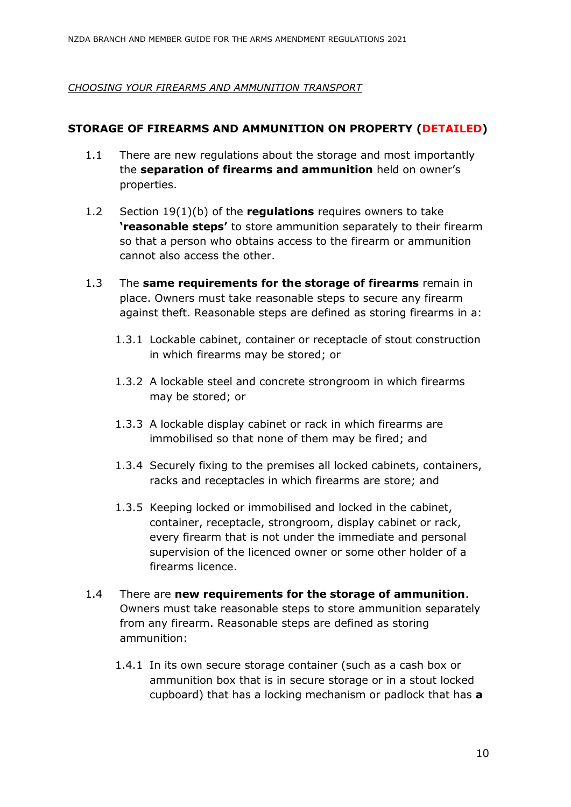#### <span id="page-10-0"></span>*CHOOSING YOUR FIREARMS AND AMMUNITION TRANSPORT*

## <span id="page-10-1"></span>**STORAGE OF FIREARMS AND AMMUNITION ON PROPERTY (DETAILED)**

- 1.1 There are new regulations about the storage and most importantly the **separation of firearms and ammunition** held on owner's properties.
- 1.2 Section 19(1)(b) of the **regulations** requires owners to take **'reasonable steps'** to store ammunition separately to their firearm so that a person who obtains access to the firearm or ammunition cannot also access the other.
- 1.3 The **same requirements for the storage of firearms** remain in place. Owners must take reasonable steps to secure any firearm against theft. Reasonable steps are defined as storing firearms in a:
	- 1.3.1 Lockable cabinet, container or receptacle of stout construction in which firearms may be stored; or
	- 1.3.2 A lockable steel and concrete strongroom in which firearms may be stored; or
	- 1.3.3 A lockable display cabinet or rack in which firearms are immobilised so that none of them may be fired; and
	- 1.3.4 Securely fixing to the premises all locked cabinets, containers, racks and receptacles in which firearms are store; and
	- 1.3.5 Keeping locked or immobilised and locked in the cabinet, container, receptacle, strongroom, display cabinet or rack, every firearm that is not under the immediate and personal supervision of the licenced owner or some other holder of a firearms licence.
- 1.4 There are **new requirements for the storage of ammunition**. Owners must take reasonable steps to store ammunition separately from any firearm. Reasonable steps are defined as storing ammunition:
	- 1.4.1 In its own secure storage container (such as a cash box or ammunition box that is in secure storage or in a stout locked cupboard) that has a locking mechanism or padlock that has **a**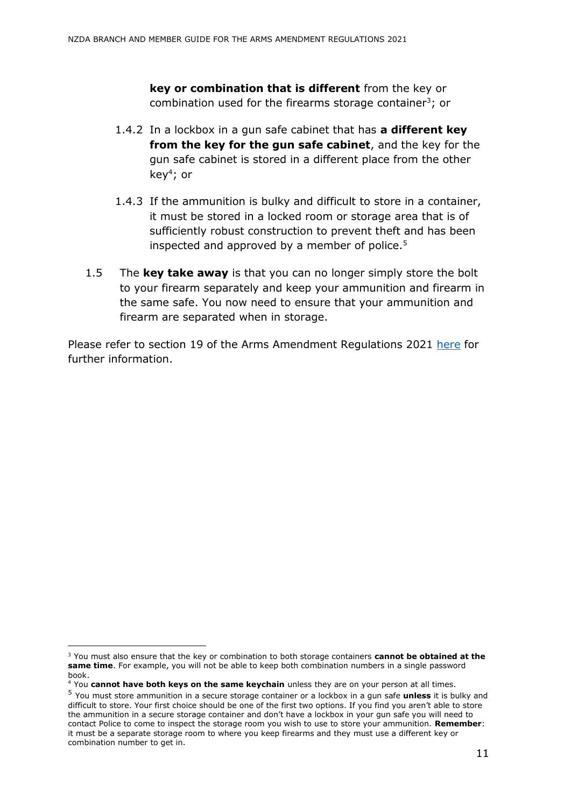**key or combination that is different** from the key or combination used for the firearms storage container<sup>3</sup>; or

- 1.4.2 In a lockbox in a gun safe cabinet that has **a different key from the key for the gun safe cabinet**, and the key for the gun safe cabinet is stored in a different place from the other key<sup>4</sup> ; or
- 1.4.3 If the ammunition is bulky and difficult to store in a container, it must be stored in a locked room or storage area that is of sufficiently robust construction to prevent theft and has been inspected and approved by a member of police.<sup>5</sup>
- 1.5 The **key take away** is that you can no longer simply store the bolt to your firearm separately and keep your ammunition and firearm in the same safe. You now need to ensure that your ammunition and firearm are separated when in storage.

Please refer to section 19 of the Arms Amendment Regulations 2021 [here](https://www.legislation.govt.nz/regulation/public/2021/0434/latest/LMS618562.html) for further information.

<sup>-</sup><sup>3</sup> You must also ensure that the key or combination to both storage containers **cannot be obtained at the same time**. For example, you will not be able to keep both combination numbers in a single password book.

<sup>4</sup> You **cannot have both keys on the same keychain** unless they are on your person at all times.

<sup>5</sup> You must store ammunition in a secure storage container or a lockbox in a gun safe **unless** it is bulky and difficult to store. Your first choice should be one of the first two options. If you find you aren't able to store the ammunition in a secure storage container and don't have a lockbox in your gun safe you will need to contact Police to come to inspect the storage room you wish to use to store your ammunition. **Remember**: it must be a separate storage room to where you keep firearms and they must use a different key or combination number to get in.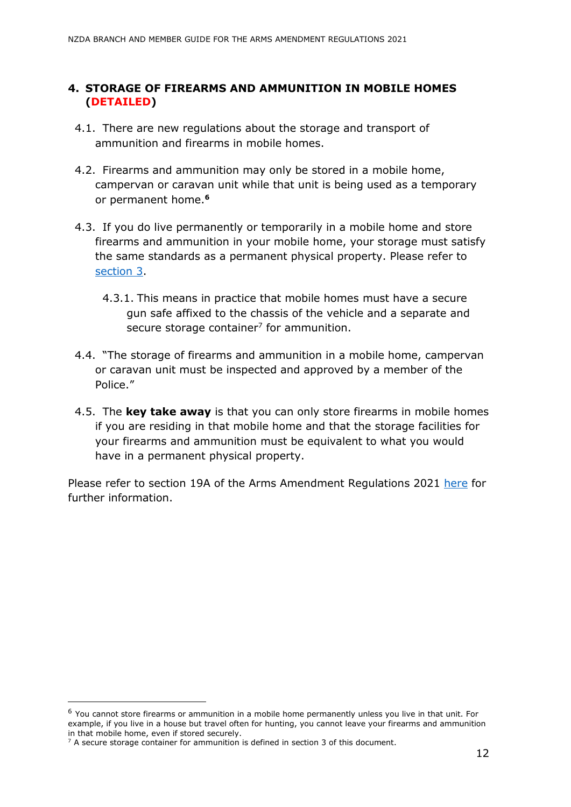#### <span id="page-12-0"></span>**4. STORAGE OF FIREARMS AND AMMUNITION IN MOBILE HOMES (DETAILED)**

- 4.1. There are new regulations about the storage and transport of ammunition and firearms in mobile homes.
- 4.2. Firearms and ammunition may only be stored in a mobile home, campervan or caravan unit while that unit is being used as a temporary or permanent home.**<sup>6</sup>**
- 4.3. If you do live permanently or temporarily in a mobile home and store firearms and ammunition in your mobile home, your storage must satisfy the same standards as a permanent physical property. Please refer to [section 3.](#page-10-1)
	- 4.3.1. This means in practice that mobile homes must have a secure gun safe affixed to the chassis of the vehicle and a separate and secure storage container $<sup>7</sup>$  for ammunition.</sup>
- 4.4. "The storage of firearms and ammunition in a mobile home, campervan or caravan unit must be inspected and approved by a member of the Police."
- 4.5. The **key take away** is that you can only store firearms in mobile homes if you are residing in that mobile home and that the storage facilities for your firearms and ammunition must be equivalent to what you would have in a permanent physical property.

Please refer to section 19A of the Arms Amendment Regulations 2021 [here](https://www.legislation.govt.nz/regulation/public/2021/0434/latest/LMS618568.html#LMS618563) for further information.

<sup>6</sup> You cannot store firearms or ammunition in a mobile home permanently unless you live in that unit. For example, if you live in a house but travel often for hunting, you cannot leave your firearms and ammunition in that mobile home, even if stored securely.

 $7$  A secure storage container for ammunition is defined in section 3 of this document.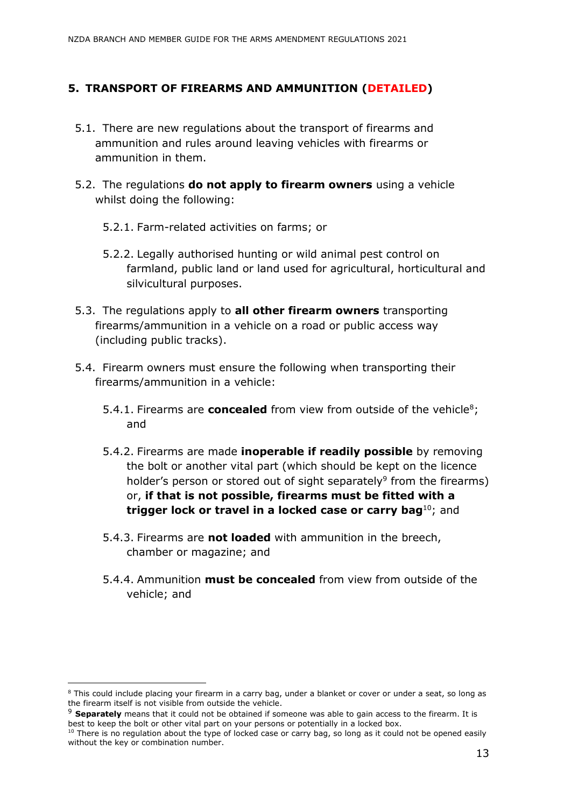#### <span id="page-13-0"></span>**5. TRANSPORT OF FIREARMS AND AMMUNITION (DETAILED)**

- 5.1. There are new regulations about the transport of firearms and ammunition and rules around leaving vehicles with firearms or ammunition in them.
- 5.2. The regulations **do not apply to firearm owners** using a vehicle whilst doing the following:
	- 5.2.1. Farm-related activities on farms; or
	- 5.2.2. Legally authorised hunting or wild animal pest control on farmland, public land or land used for agricultural, horticultural and silvicultural purposes.
- 5.3. The regulations apply to **all other firearm owners** transporting firearms/ammunition in a vehicle on a road or public access way (including public tracks).
- 5.4. Firearm owners must ensure the following when transporting their firearms/ammunition in a vehicle:
	- 5.4.1. Firearms are **concealed** from view from outside of the vehicle<sup>8</sup>; and
	- 5.4.2. Firearms are made **inoperable if readily possible** by removing the bolt or another vital part (which should be kept on the licence holder's person or stored out of sight separately<sup>9</sup> from the firearms) or, **if that is not possible, firearms must be fitted with a trigger lock or travel in a locked case or carry bag**<sup>10</sup>; and
	- 5.4.3. Firearms are **not loaded** with ammunition in the breech, chamber or magazine; and
	- 5.4.4. Ammunition **must be concealed** from view from outside of the vehicle; and

<sup>&</sup>lt;sup>8</sup> This could include placing your firearm in a carry bag, under a blanket or cover or under a seat, so long as the firearm itself is not visible from outside the vehicle.

<sup>&</sup>lt;sup>9</sup> Separately means that it could not be obtained if someone was able to gain access to the firearm. It is best to keep the bolt or other vital part on your persons or potentially in a locked box.

 $10$  There is no regulation about the type of locked case or carry bag, so long as it could not be opened easily without the key or combination number.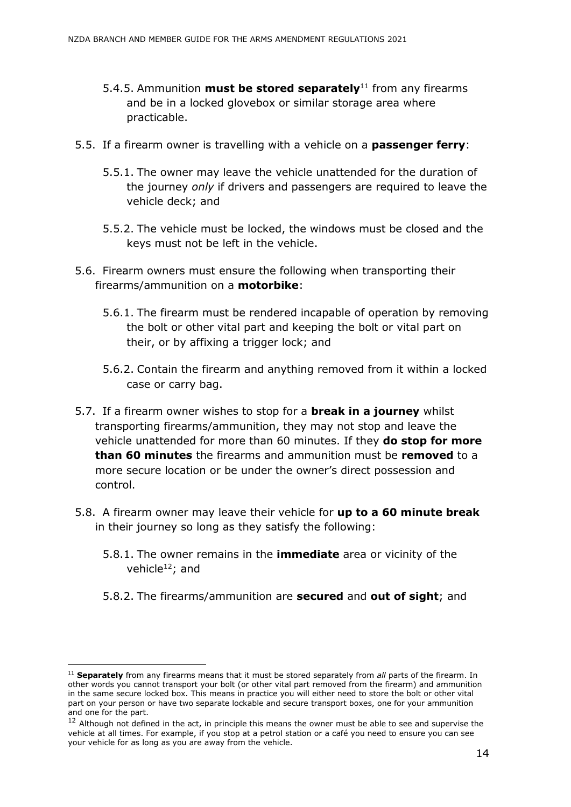- 5.4.5. Ammunition **must be stored separately**<sup>11</sup> from any firearms and be in a locked glovebox or similar storage area where practicable.
- 5.5. If a firearm owner is travelling with a vehicle on a **passenger ferry**:
	- 5.5.1. The owner may leave the vehicle unattended for the duration of the journey *only* if drivers and passengers are required to leave the vehicle deck; and
	- 5.5.2. The vehicle must be locked, the windows must be closed and the keys must not be left in the vehicle.
- 5.6. Firearm owners must ensure the following when transporting their firearms/ammunition on a **motorbike**:
	- 5.6.1. The firearm must be rendered incapable of operation by removing the bolt or other vital part and keeping the bolt or vital part on their, or by affixing a trigger lock; and
	- 5.6.2. Contain the firearm and anything removed from it within a locked case or carry bag.
- 5.7. If a firearm owner wishes to stop for a **break in a journey** whilst transporting firearms/ammunition, they may not stop and leave the vehicle unattended for more than 60 minutes. If they **do stop for more than 60 minutes** the firearms and ammunition must be **removed** to a more secure location or be under the owner's direct possession and control.
- 5.8. A firearm owner may leave their vehicle for **up to a 60 minute break** in their journey so long as they satisfy the following:
	- 5.8.1. The owner remains in the **immediate** area or vicinity of the vehicle $12$ ; and
	- 5.8.2. The firearms/ammunition are **secured** and **out of sight**; and

<sup>&</sup>lt;sup>11</sup> Separately from any firearms means that it must be stored separately from *all* parts of the firearm. In other words you cannot transport your bolt (or other vital part removed from the firearm) and ammunition in the same secure locked box. This means in practice you will either need to store the bolt or other vital part on your person or have two separate lockable and secure transport boxes, one for your ammunition and one for the part.

 $12$  Although not defined in the act, in principle this means the owner must be able to see and supervise the vehicle at all times. For example, if you stop at a petrol station or a café you need to ensure you can see your vehicle for as long as you are away from the vehicle.